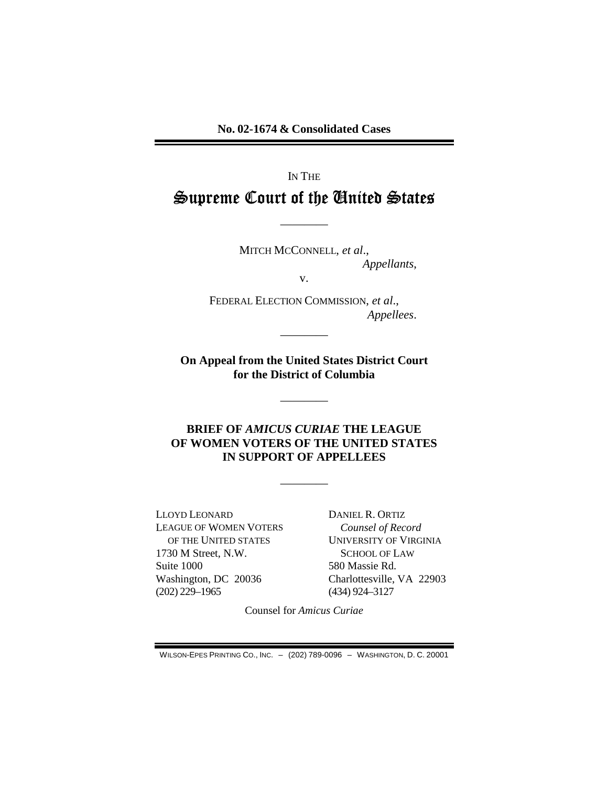No. 02-1674 & Consolidated Cases

# IN THE Supreme Court of the United States

MITCH MCCONNELL, et al., Appellants,

 $V_{\bullet}$ 

FEDERAL ELECTION COMMISSION, et al., Appellees.

On Appeal from the United States District Court for the District of Columbia

## **BRIEF OF AMICUS CURIAE THE LEAGUE** OF WOMEN VOTERS OF THE UNITED STATES IN SUPPORT OF APPELLEES

LLOYD LEONARD **LEAGUE OF WOMEN VOTERS** OF THE UNITED STATES 1730 M Street, N.W. Suite 1000 Washington, DC 20036  $(202)$  229-1965

DANIEL R. ORTIZ Counsel of Record **UNIVERSITY OF VIRGINIA SCHOOL OF LAW** 580 Massie Rd. Charlottesville, VA 22903  $(434)$  924-3127

Counsel for Amicus Curiae

WILSON-EPES PRINTING CO., INC. - (202) 789-0096 - WASHINGTON, D. C. 20001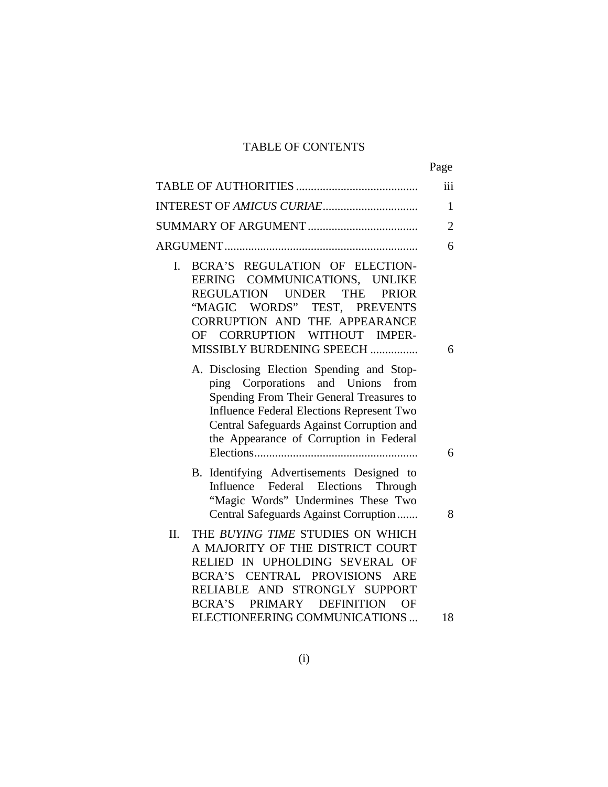# TABLE OF CONTENTS

|                                                                                                                                                                                                                                                                    | Page           |
|--------------------------------------------------------------------------------------------------------------------------------------------------------------------------------------------------------------------------------------------------------------------|----------------|
|                                                                                                                                                                                                                                                                    | iii            |
|                                                                                                                                                                                                                                                                    | 1              |
|                                                                                                                                                                                                                                                                    | $\overline{2}$ |
|                                                                                                                                                                                                                                                                    | 6              |
| BCRA'S REGULATION OF ELECTION-<br>I.<br>EERING COMMUNICATIONS, UNLIKE<br>REGULATION UNDER THE<br><b>PRIOR</b><br>"MAGIC WORDS" TEST, PREVENTS<br>CORRUPTION AND THE APPEARANCE<br>CORRUPTION WITHOUT IMPER-<br><b>OF</b><br>MISSIBLY BURDENING SPEECH              | 6              |
| A. Disclosing Election Spending and Stop-<br>ping Corporations and Unions<br>from<br>Spending From Their General Treasures to<br>Influence Federal Elections Represent Two<br>Central Safeguards Against Corruption and<br>the Appearance of Corruption in Federal | 6              |
| B. Identifying Advertisements Designed to<br>Influence Federal Elections<br>Through<br>"Magic Words" Undermines These Two<br>Central Safeguards Against Corruption                                                                                                 | 8              |
| II.<br>THE BUYING TIME STUDIES ON WHICH<br>A MAJORITY OF THE DISTRICT COURT<br>RELIED IN UPHOLDING SEVERAL OF<br>BCRA'S CENTRAL PROVISIONS ARE<br>RELIABLE AND STRONGLY SUPPORT<br>BCRA'S<br>PRIMARY DEFINITION<br>OF                                              |                |
| ELECTIONEERING COMMUNICATIONS                                                                                                                                                                                                                                      | 18             |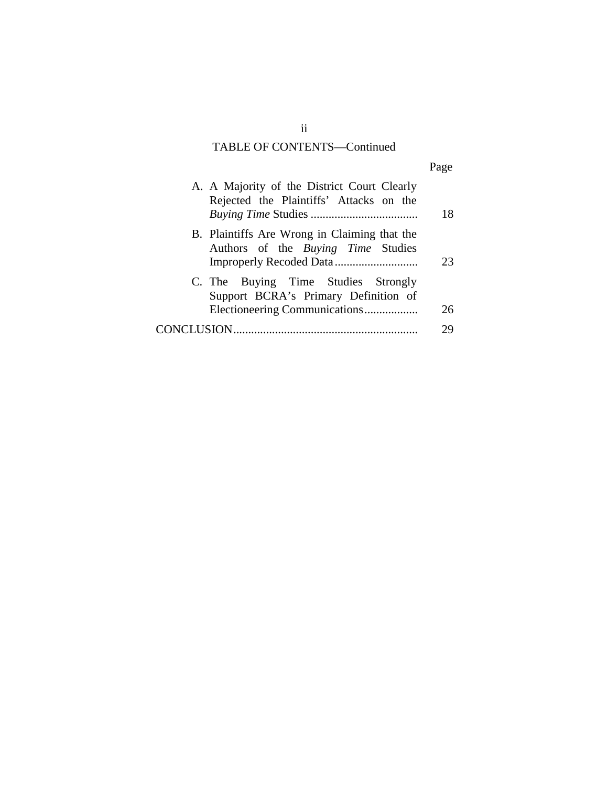# TABLE OF CONTENTS—Continued

|                                                                                                              | Page |
|--------------------------------------------------------------------------------------------------------------|------|
| A. A Majority of the District Court Clearly<br>Rejected the Plaintiffs' Attacks on the                       | 18   |
| B. Plaintiffs Are Wrong in Claiming that the<br>Authors of the Buying Time Studies                           | 23   |
| C. The Buying Time Studies Strongly<br>Support BCRA's Primary Definition of<br>Electioneering Communications | 26   |
|                                                                                                              | 79   |

ii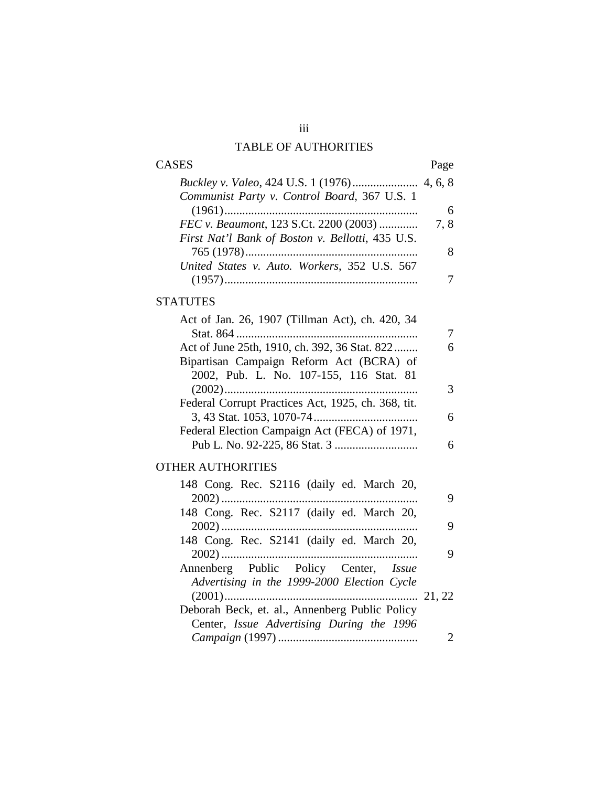# TABLE OF AUTHORITIES

| <b>CASES</b>                                     | Page |
|--------------------------------------------------|------|
|                                                  |      |
| Communist Party v. Control Board, 367 U.S. 1     |      |
|                                                  | 6    |
| FEC v. Beaumont, 123 S.Ct. 2200 (2003)           | 7.8  |
| First Nat'l Bank of Boston v. Bellotti, 435 U.S. |      |
|                                                  | 8    |
| United States v. Auto. Workers, 352 U.S. 567     |      |
| (1957)                                           |      |

## **STATUTES**

| 6 |
|---|
|   |
|   |
| 3 |
|   |
| 6 |
|   |
| 6 |
|   |

# OTHER AUTHORITIES

| 148 Cong. Rec. S2116 (daily ed. March 20,                                                          | 9 |  |
|----------------------------------------------------------------------------------------------------|---|--|
| 148 Cong. Rec. S2117 (daily ed. March 20,                                                          |   |  |
| 148 Cong. Rec. S2141 (daily ed. March 20,                                                          | 9 |  |
|                                                                                                    | 9 |  |
| Annenberg Public Policy Center, Issue                                                              |   |  |
| Advertising in the 1999-2000 Election Cycle                                                        |   |  |
| Deborah Beck, et. al., Annenberg Public Policy<br>Center, <i>Issue Advertising During the 1996</i> |   |  |
|                                                                                                    |   |  |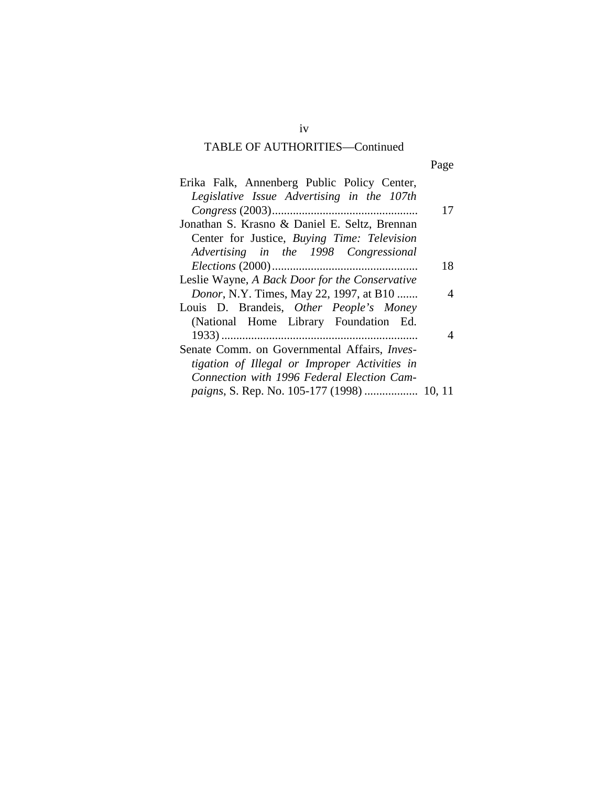# TABLE OF AUTHORITIES—Continued

Page

| Erika Falk, Annenberg Public Policy Center,         |    |  |
|-----------------------------------------------------|----|--|
| Legislative Issue Advertising in the 107th          |    |  |
|                                                     | 17 |  |
| Jonathan S. Krasno & Daniel E. Seltz, Brennan       |    |  |
| Center for Justice, Buying Time: Television         |    |  |
| Advertising in the 1998 Congressional               |    |  |
|                                                     | 18 |  |
| Leslie Wayne, A Back Door for the Conservative      |    |  |
| <i>Donor</i> , N.Y. Times, May 22, 1997, at B10     | 4  |  |
| Louis D. Brandeis, Other People's Money             |    |  |
| (National Home Library Foundation Ed.               |    |  |
|                                                     | 4  |  |
| Senate Comm. on Governmental Affairs, <i>Inves-</i> |    |  |
| tigation of Illegal or Improper Activities in       |    |  |
| Connection with 1996 Federal Election Cam-          |    |  |
|                                                     |    |  |

iv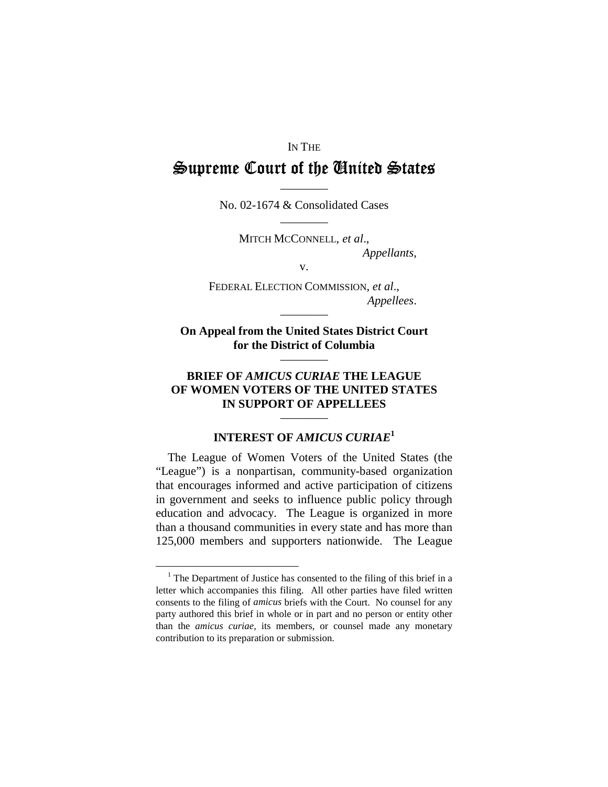### IN THE

# $\cong$ upreme Court of the Cinited  $\cong$ tates

———— No. 02-1674 & Consolidated Cases ————

> MITCH MCCONNELL, *et al*., *Appellants*,

> > v.

FEDERAL ELECTION COMMISSION, *et al*., *Appellees*.

### **On Appeal from the United States District Court for the District of Columbia**

————

————

### **BRIEF OF** *AMICUS CURIAE* **THE LEAGUE OF WOMEN VOTERS OF THE UNITED STATES IN SUPPORT OF APPELLEES**

# ———— **INTEREST OF** *AMICUS CURIAE***<sup>1</sup>**

The League of Women Voters of the United States (the "League") is a nonpartisan, community-based organization that encourages informed and active participation of citizens in government and seeks to influence public policy through education and advocacy. The League is organized in more than a thousand communities in every state and has more than 125,000 members and supporters nationwide. The League

<sup>&</sup>lt;sup>1</sup> The Department of Justice has consented to the filing of this brief in a letter which accompanies this filing. All other parties have filed written consents to the filing of *amicus* briefs with the Court. No counsel for any party authored this brief in whole or in part and no person or entity other than the *amicus curiae*, its members, or counsel made any monetary contribution to its preparation or submission.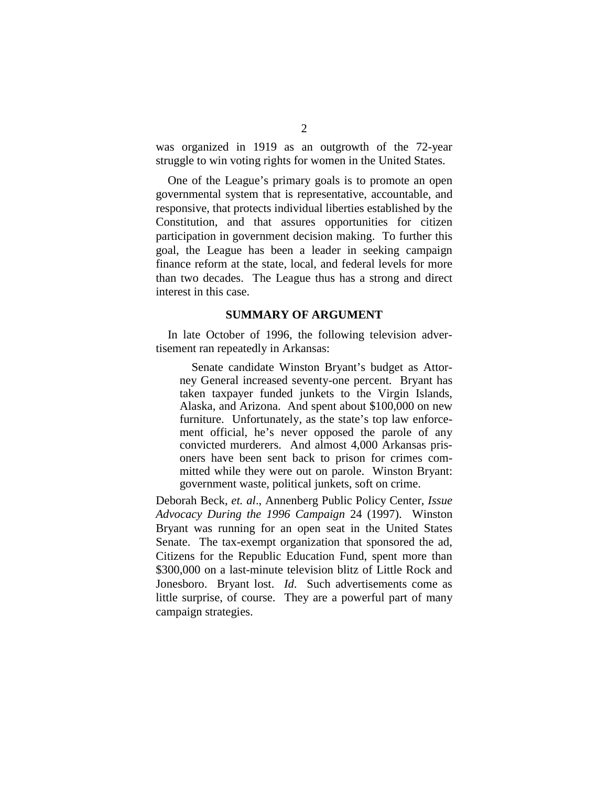was organized in 1919 as an outgrowth of the 72-year struggle to win voting rights for women in the United States.

One of the League's primary goals is to promote an open governmental system that is representative, accountable, and responsive, that protects individual liberties established by the Constitution, and that assures opportunities for citizen participation in government decision making. To further this goal, the League has been a leader in seeking campaign finance reform at the state, local, and federal levels for more than two decades. The League thus has a strong and direct interest in this case.

#### **SUMMARY OF ARGUMENT**

In late October of 1996, the following television advertisement ran repeatedly in Arkansas:

Senate candidate Winston Bryant's budget as Attorney General increased seventy-one percent. Bryant has taken taxpayer funded junkets to the Virgin Islands, Alaska, and Arizona. And spent about \$100,000 on new furniture. Unfortunately, as the state's top law enforcement official, he's never opposed the parole of any convicted murderers. And almost 4,000 Arkansas prisoners have been sent back to prison for crimes committed while they were out on parole. Winston Bryant: government waste, political junkets, soft on crime.

Deborah Beck, *et. al*., Annenberg Public Policy Center, *Issue Advocacy During the 1996 Campaign* 24 (1997). Winston Bryant was running for an open seat in the United States Senate. The tax-exempt organization that sponsored the ad, Citizens for the Republic Education Fund, spent more than \$300,000 on a last-minute television blitz of Little Rock and Jonesboro. Bryant lost. *Id*. Such advertisements come as little surprise, of course. They are a powerful part of many campaign strategies.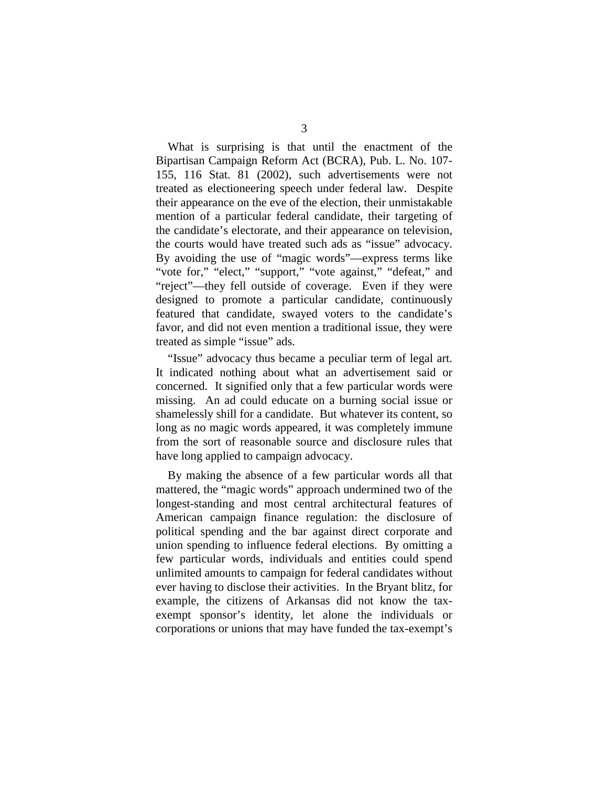What is surprising is that until the enactment of the Bipartisan Campaign Reform Act (BCRA), Pub. L. No. 107- 155, 116 Stat. 81 (2002), such advertisements were not treated as electioneering speech under federal law. Despite their appearance on the eve of the election, their unmistakable mention of a particular federal candidate, their targeting of the candidate's electorate, and their appearance on television, the courts would have treated such ads as "issue" advocacy. By avoiding the use of "magic words"—express terms like "vote for," "elect," "support," "vote against," "defeat," and "reject"—they fell outside of coverage. Even if they were designed to promote a particular candidate, continuously featured that candidate, swayed voters to the candidate's favor, and did not even mention a traditional issue, they were treated as simple "issue" ads.

"Issue" advocacy thus became a peculiar term of legal art. It indicated nothing about what an advertisement said or concerned. It signified only that a few particular words were missing. An ad could educate on a burning social issue or shamelessly shill for a candidate. But whatever its content, so long as no magic words appeared, it was completely immune from the sort of reasonable source and disclosure rules that have long applied to campaign advocacy.

By making the absence of a few particular words all that mattered, the "magic words" approach undermined two of the longest-standing and most central architectural features of American campaign finance regulation: the disclosure of political spending and the bar against direct corporate and union spending to influence federal elections. By omitting a few particular words, individuals and entities could spend unlimited amounts to campaign for federal candidates without ever having to disclose their activities. In the Bryant blitz, for example, the citizens of Arkansas did not know the taxexempt sponsor's identity, let alone the individuals or corporations or unions that may have funded the tax-exempt's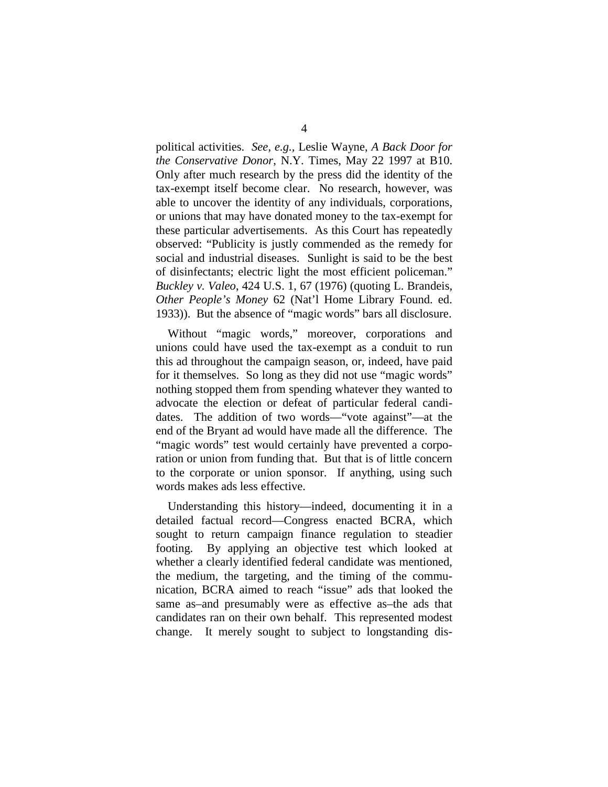political activities. *See, e.g.,* Leslie Wayne, *A Back Door for the Conservative Donor*, N.Y. Times, May 22 1997 at B10. Only after much research by the press did the identity of the tax-exempt itself become clear. No research, however, was able to uncover the identity of any individuals, corporations, or unions that may have donated money to the tax-exempt for these particular advertisements. As this Court has repeatedly observed: "Publicity is justly commended as the remedy for social and industrial diseases. Sunlight is said to be the best of disinfectants; electric light the most efficient policeman." *Buckley v. Valeo*, 424 U.S. 1, 67 (1976) (quoting L. Brandeis, *Other People's Money* 62 (Nat'l Home Library Found. ed. 1933)). But the absence of "magic words" bars all disclosure.

Without "magic words," moreover, corporations and unions could have used the tax-exempt as a conduit to run this ad throughout the campaign season, or, indeed, have paid for it themselves. So long as they did not use "magic words" nothing stopped them from spending whatever they wanted to advocate the election or defeat of particular federal candidates. The addition of two words—"vote against"—at the end of the Bryant ad would have made all the difference. The "magic words" test would certainly have prevented a corporation or union from funding that. But that is of little concern to the corporate or union sponsor. If anything, using such words makes ads less effective.

Understanding this history—indeed, documenting it in a detailed factual record—Congress enacted BCRA, which sought to return campaign finance regulation to steadier footing. By applying an objective test which looked at whether a clearly identified federal candidate was mentioned, the medium, the targeting, and the timing of the communication, BCRA aimed to reach "issue" ads that looked the same as–and presumably were as effective as–the ads that candidates ran on their own behalf. This represented modest change. It merely sought to subject to longstanding dis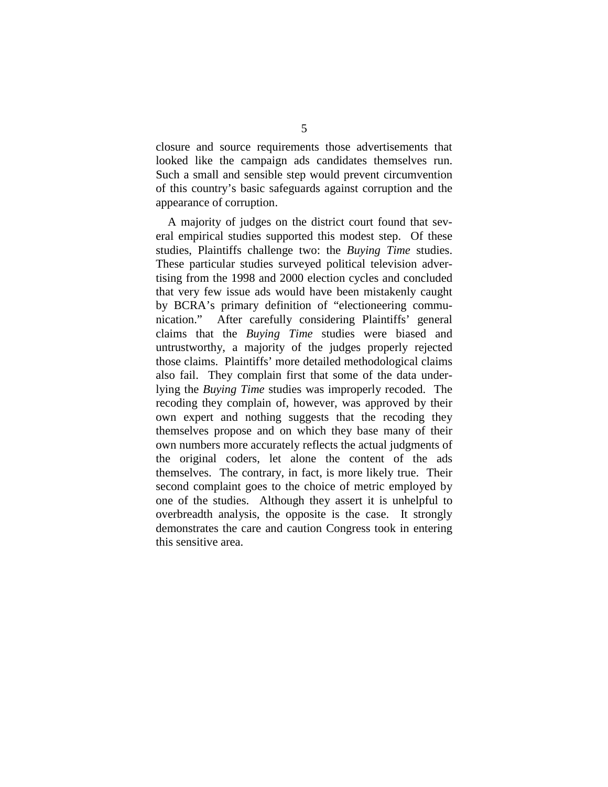closure and source requirements those advertisements that looked like the campaign ads candidates themselves run. Such a small and sensible step would prevent circumvention of this country's basic safeguards against corruption and the appearance of corruption.

A majority of judges on the district court found that several empirical studies supported this modest step. Of these studies, Plaintiffs challenge two: the *Buying Time* studies. These particular studies surveyed political television advertising from the 1998 and 2000 election cycles and concluded that very few issue ads would have been mistakenly caught by BCRA's primary definition of "electioneering communication." After carefully considering Plaintiffs' general claims that the *Buying Time* studies were biased and untrustworthy, a majority of the judges properly rejected those claims. Plaintiffs' more detailed methodological claims also fail. They complain first that some of the data underlying the *Buying Time* studies was improperly recoded. The recoding they complain of, however, was approved by their own expert and nothing suggests that the recoding they themselves propose and on which they base many of their own numbers more accurately reflects the actual judgments of the original coders, let alone the content of the ads themselves. The contrary, in fact, is more likely true. Their second complaint goes to the choice of metric employed by one of the studies. Although they assert it is unhelpful to overbreadth analysis, the opposite is the case. It strongly demonstrates the care and caution Congress took in entering this sensitive area.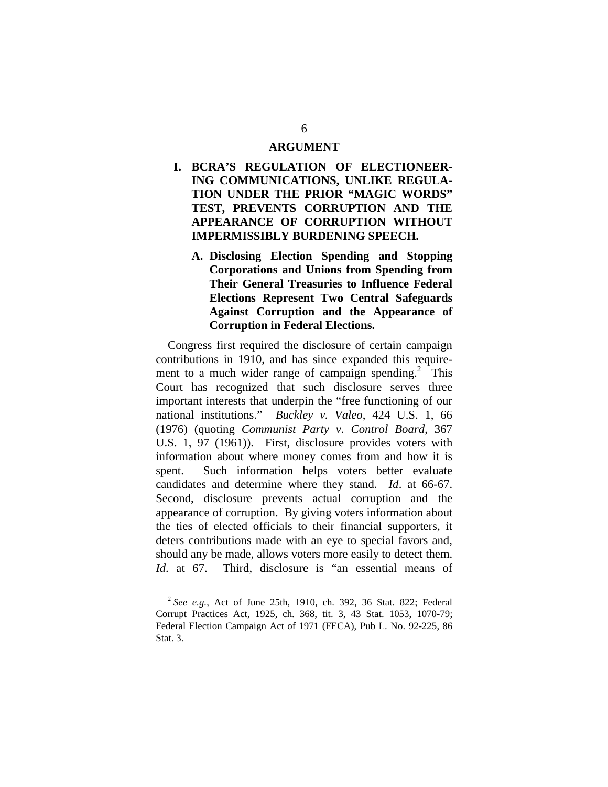### **ARGUMENT**

- **I. BCRA'S REGULATION OF ELECTIONEER-ING COMMUNICATIONS, UNLIKE REGULA-TION UNDER THE PRIOR "MAGIC WORDS" TEST, PREVENTS CORRUPTION AND THE APPEARANCE OF CORRUPTION WITHOUT IMPERMISSIBLY BURDENING SPEECH.** 
	- **A. Disclosing Election Spending and Stopping Corporations and Unions from Spending from Their General Treasuries to Influence Federal Elections Represent Two Central Safeguards Against Corruption and the Appearance of Corruption in Federal Elections.**

Congress first required the disclosure of certain campaign contributions in 1910, and has since expanded this requirement to a much wider range of campaign spending.<sup>2</sup> This Court has recognized that such disclosure serves three important interests that underpin the "free functioning of our national institutions." *Buckley v. Valeo*, 424 U.S. 1, 66 (1976) (quoting *Communist Party v. Control Board*, 367 U.S. 1, 97 (1961)). First, disclosure provides voters with information about where money comes from and how it is spent. Such information helps voters better evaluate candidates and determine where they stand. *Id*. at 66-67. Second, disclosure prevents actual corruption and the appearance of corruption. By giving voters information about the ties of elected officials to their financial supporters, it deters contributions made with an eye to special favors and, should any be made, allows voters more easily to detect them. *Id*. at 67. Third, disclosure is "an essential means of

<sup>2</sup>*See e.g.*, Act of June 25th, 1910, ch. 392, 36 Stat. 822; Federal Corrupt Practices Act, 1925, ch. 368, tit. 3, 43 Stat. 1053, 1070-79; Federal Election Campaign Act of 1971 (FECA), Pub L. No. 92-225, 86 Stat. 3.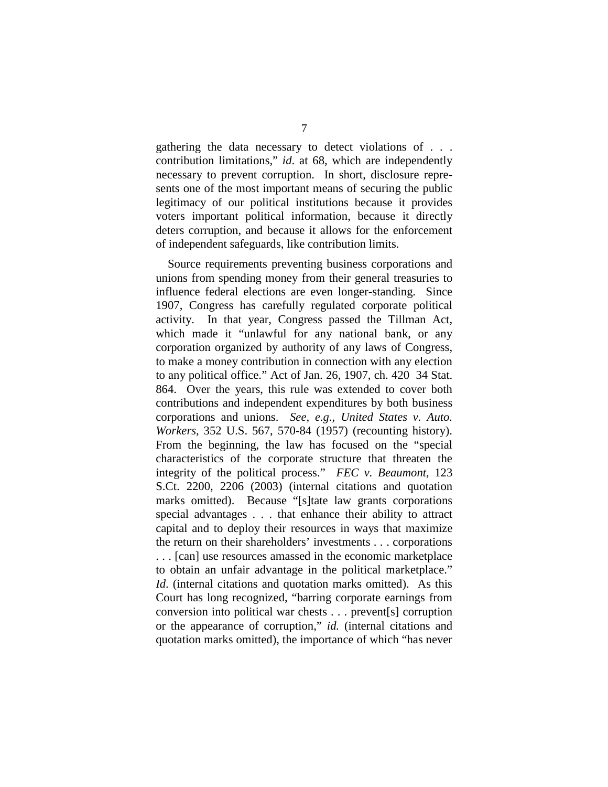gathering the data necessary to detect violations of . . . contribution limitations," *id*. at 68, which are independently necessary to prevent corruption. In short, disclosure represents one of the most important means of securing the public legitimacy of our political institutions because it provides voters important political information, because it directly deters corruption, and because it allows for the enforcement of independent safeguards, like contribution limits.

Source requirements preventing business corporations and unions from spending money from their general treasuries to influence federal elections are even longer-standing. Since 1907, Congress has carefully regulated corporate political activity. In that year, Congress passed the Tillman Act, which made it "unlawful for any national bank, or any corporation organized by authority of any laws of Congress, to make a money contribution in connection with any election to any political office." Act of Jan. 26, 1907, ch. 420 34 Stat. 864. Over the years, this rule was extended to cover both contributions and independent expenditures by both business corporations and unions. *See, e.g., United States v. Auto. Workers,* 352 U.S. 567, 570-84 (1957) (recounting history). From the beginning, the law has focused on the "special characteristics of the corporate structure that threaten the integrity of the political process." *FEC v. Beaumont*, 123 S.Ct. 2200, 2206 (2003) (internal citations and quotation marks omitted). Because "[s]tate law grants corporations special advantages . . . that enhance their ability to attract capital and to deploy their resources in ways that maximize the return on their shareholders' investments . . . corporations . . . [can] use resources amassed in the economic marketplace to obtain an unfair advantage in the political marketplace." *Id.* (internal citations and quotation marks omitted). As this Court has long recognized, "barring corporate earnings from conversion into political war chests . . . prevent[s] corruption or the appearance of corruption," *id.* (internal citations and quotation marks omitted), the importance of which "has never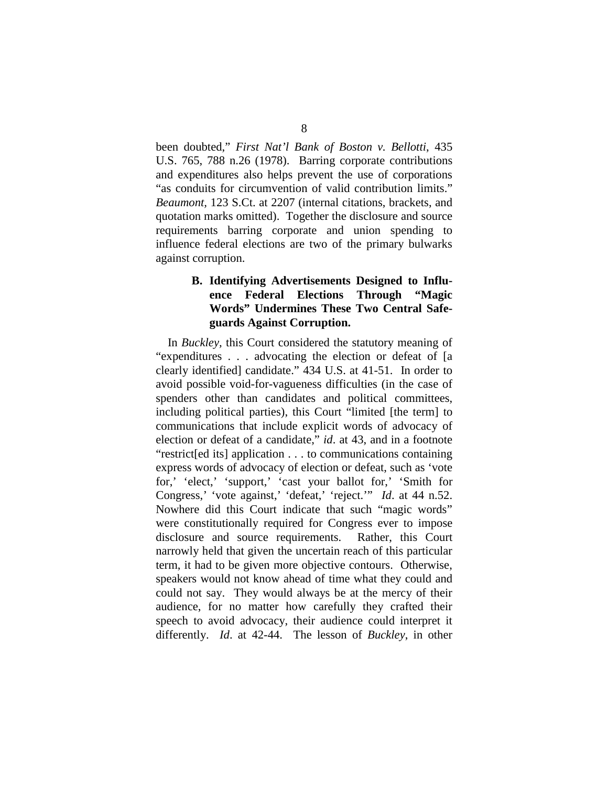been doubted," *First Nat'l Bank of Boston v. Bellotti*, 435 U.S. 765, 788 n.26 (1978). Barring corporate contributions and expenditures also helps prevent the use of corporations "as conduits for circumvention of valid contribution limits." *Beaumont,* 123 S.Ct. at 2207 (internal citations, brackets, and quotation marks omitted). Together the disclosure and source requirements barring corporate and union spending to influence federal elections are two of the primary bulwarks against corruption.

## **B. Identifying Advertisements Designed to Influence Federal Elections Through "Magic Words" Undermines These Two Central Safeguards Against Corruption.**

In *Buckley,* this Court considered the statutory meaning of "expenditures . . . advocating the election or defeat of [a clearly identified] candidate." 434 U.S. at 41-51. In order to avoid possible void-for-vagueness difficulties (in the case of spenders other than candidates and political committees, including political parties), this Court "limited [the term] to communications that include explicit words of advocacy of election or defeat of a candidate," *id*. at 43, and in a footnote "restrict[ed its] application . . . to communications containing express words of advocacy of election or defeat, such as 'vote for,' 'elect,' 'support,' 'cast your ballot for,' 'Smith for Congress,' 'vote against,' 'defeat,' 'reject.'" *Id*. at 44 n.52. Nowhere did this Court indicate that such "magic words" were constitutionally required for Congress ever to impose disclosure and source requirements. Rather, this Court narrowly held that given the uncertain reach of this particular term, it had to be given more objective contours. Otherwise, speakers would not know ahead of time what they could and could not say. They would always be at the mercy of their audience, for no matter how carefully they crafted their speech to avoid advocacy, their audience could interpret it differently. *Id*. at 42-44. The lesson of *Buckley*, in other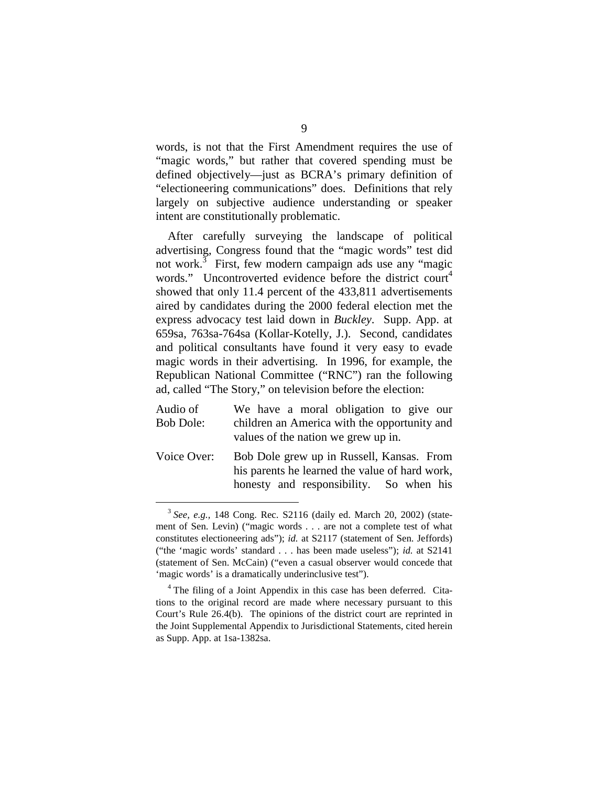words, is not that the First Amendment requires the use of "magic words," but rather that covered spending must be defined objectively—just as BCRA's primary definition of "electioneering communications" does. Definitions that rely largely on subjective audience understanding or speaker intent are constitutionally problematic.

After carefully surveying the landscape of political advertising, Congress found that the "magic words" test did not work.<sup>3</sup> First, few modern campaign ads use any "magic words." Uncontroverted evidence before the district court<sup>4</sup> showed that only 11.4 percent of the 433,811 advertisements aired by candidates during the 2000 federal election met the express advocacy test laid down in *Buckley*. Supp. App. at 659sa, 763sa-764sa (Kollar-Kotelly, J.). Second, candidates and political consultants have found it very easy to evade magic words in their advertising. In 1996, for example, the Republican National Committee ("RNC") ran the following ad, called "The Story," on television before the election:

- Audio of We have a moral obligation to give our Bob Dole: children an America with the opportunity and values of the nation we grew up in.
- Voice Over: Bob Dole grew up in Russell, Kansas. From his parents he learned the value of hard work, honesty and responsibility. So when his

<sup>3</sup>*See, e.g.,* 148 Cong. Rec. S2116 (daily ed. March 20, 2002) (statement of Sen. Levin) ("magic words . . . are not a complete test of what constitutes electioneering ads"); *id.* at S2117 (statement of Sen. Jeffords) ("the 'magic words' standard . . . has been made useless"); *id.* at S2141 (statement of Sen. McCain) ("even a casual observer would concede that 'magic words' is a dramatically underinclusive test").

<sup>&</sup>lt;sup>4</sup> The filing of a Joint Appendix in this case has been deferred. Citations to the original record are made where necessary pursuant to this Court's Rule 26.4(b). The opinions of the district court are reprinted in the Joint Supplemental Appendix to Jurisdictional Statements, cited herein as Supp. App. at 1sa-1382sa.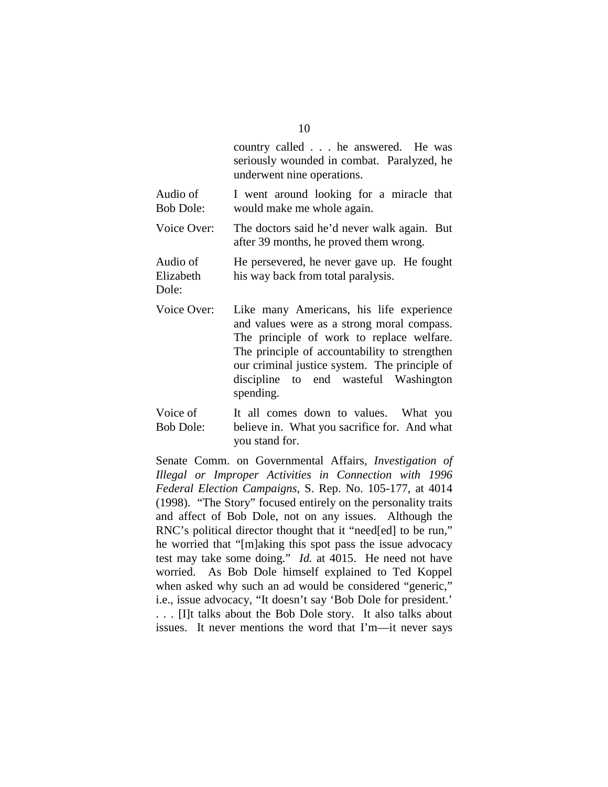|                                | country called he answered. He was<br>seriously wounded in combat. Paralyzed, he<br>underwent nine operations.                                                                                                                                                                              |
|--------------------------------|---------------------------------------------------------------------------------------------------------------------------------------------------------------------------------------------------------------------------------------------------------------------------------------------|
| Audio of<br><b>Bob Dole:</b>   | I went around looking for a miracle that<br>would make me whole again.                                                                                                                                                                                                                      |
| Voice Over:                    | The doctors said he'd never walk again. But<br>after 39 months, he proved them wrong.                                                                                                                                                                                                       |
| Audio of<br>Elizabeth<br>Dole: | He persevered, he never gave up. He fought<br>his way back from total paralysis.                                                                                                                                                                                                            |
| Voice Over:                    | Like many Americans, his life experience<br>and values were as a strong moral compass.<br>The principle of work to replace welfare.<br>The principle of accountability to strengthen<br>our criminal justice system. The principle of<br>discipline to end wasteful Washington<br>spending. |
| Voice of<br>Boh Dole:          | It all comes down to values. What you<br>helieve in What you sacrifice for And what                                                                                                                                                                                                         |

Bob Dole: believe in. What you sacrifice for. And what you stand for.

Senate Comm. on Governmental Affairs, *Investigation of Illegal or Improper Activities in Connection with 1996 Federal Election Campaigns,* S. Rep. No. 105-177, at 4014 (1998). "The Story" focused entirely on the personality traits and affect of Bob Dole, not on any issues. Although the RNC's political director thought that it "need[ed] to be run," he worried that "[m]aking this spot pass the issue advocacy test may take some doing." *Id.* at 4015. He need not have worried. As Bob Dole himself explained to Ted Koppel when asked why such an ad would be considered "generic," i.e., issue advocacy, "It doesn't say 'Bob Dole for president.' . . . [I]t talks about the Bob Dole story. It also talks about issues. It never mentions the word that I'm—it never says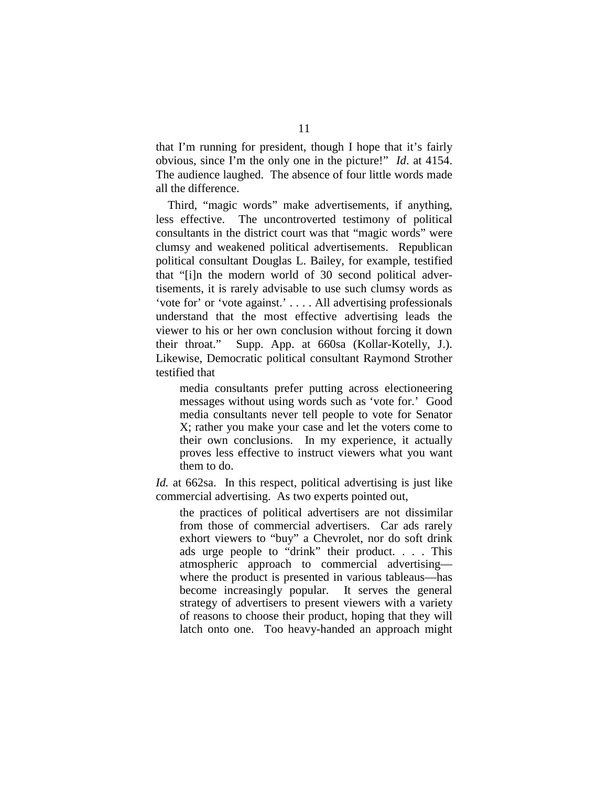that I'm running for president, though I hope that it's fairly obvious, since I'm the only one in the picture!" *Id*. at 4154. The audience laughed. The absence of four little words made all the difference.

Third, "magic words" make advertisements, if anything, less effective. The uncontroverted testimony of political consultants in the district court was that "magic words" were clumsy and weakened political advertisements. Republican political consultant Douglas L. Bailey, for example, testified that "[i]n the modern world of 30 second political advertisements, it is rarely advisable to use such clumsy words as 'vote for' or 'vote against.' . . . . All advertising professionals understand that the most effective advertising leads the viewer to his or her own conclusion without forcing it down their throat." Supp. App. at 660sa (Kollar-Kotelly, J.). Likewise, Democratic political consultant Raymond Strother testified that

media consultants prefer putting across electioneering messages without using words such as 'vote for.' Good media consultants never tell people to vote for Senator X; rather you make your case and let the voters come to their own conclusions. In my experience, it actually proves less effective to instruct viewers what you want them to do.

*Id.* at 662sa. In this respect, political advertising is just like commercial advertising. As two experts pointed out,

the practices of political advertisers are not dissimilar from those of commercial advertisers. Car ads rarely exhort viewers to "buy" a Chevrolet, nor do soft drink ads urge people to "drink" their product. . . . This atmospheric approach to commercial advertising where the product is presented in various tableaus—has become increasingly popular. It serves the general strategy of advertisers to present viewers with a variety of reasons to choose their product, hoping that they will latch onto one. Too heavy-handed an approach might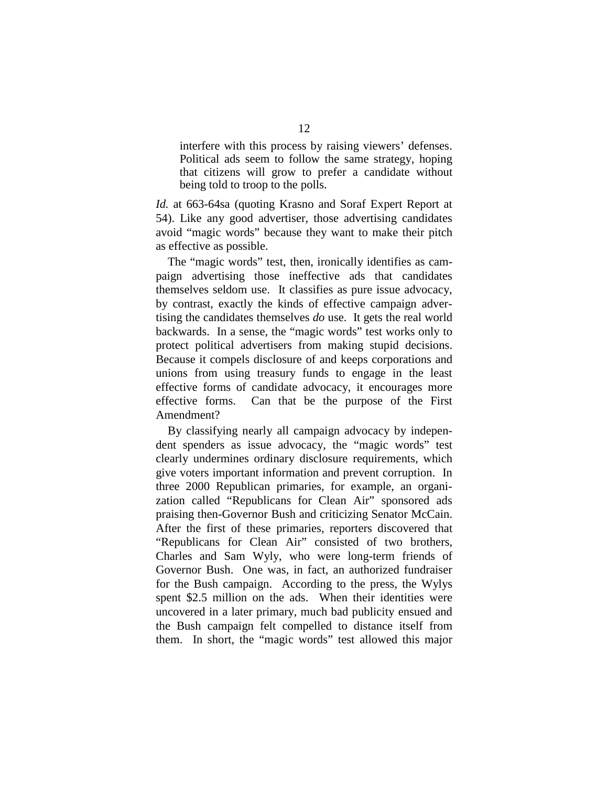interfere with this process by raising viewers' defenses. Political ads seem to follow the same strategy, hoping that citizens will grow to prefer a candidate without being told to troop to the polls.

*Id.* at 663-64sa (quoting Krasno and Soraf Expert Report at 54). Like any good advertiser, those advertising candidates avoid "magic words" because they want to make their pitch as effective as possible.

The "magic words" test, then, ironically identifies as campaign advertising those ineffective ads that candidates themselves seldom use. It classifies as pure issue advocacy, by contrast, exactly the kinds of effective campaign advertising the candidates themselves *do* use. It gets the real world backwards. In a sense, the "magic words" test works only to protect political advertisers from making stupid decisions. Because it compels disclosure of and keeps corporations and unions from using treasury funds to engage in the least effective forms of candidate advocacy, it encourages more effective forms. Can that be the purpose of the First Amendment?

By classifying nearly all campaign advocacy by independent spenders as issue advocacy, the "magic words" test clearly undermines ordinary disclosure requirements, which give voters important information and prevent corruption. In three 2000 Republican primaries, for example, an organization called "Republicans for Clean Air" sponsored ads praising then-Governor Bush and criticizing Senator McCain. After the first of these primaries, reporters discovered that "Republicans for Clean Air" consisted of two brothers, Charles and Sam Wyly, who were long-term friends of Governor Bush. One was, in fact, an authorized fundraiser for the Bush campaign. According to the press, the Wylys spent \$2.5 million on the ads. When their identities were uncovered in a later primary, much bad publicity ensued and the Bush campaign felt compelled to distance itself from them. In short, the "magic words" test allowed this major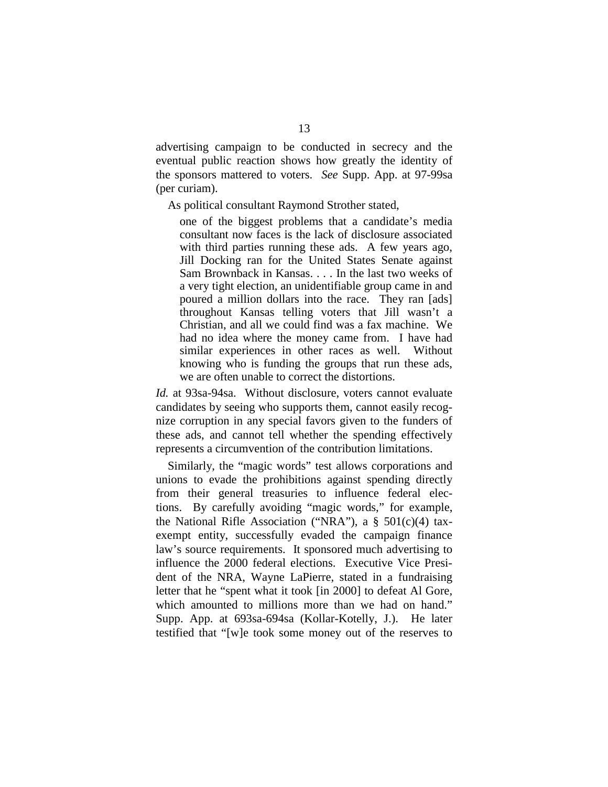advertising campaign to be conducted in secrecy and the eventual public reaction shows how greatly the identity of the sponsors mattered to voters. *See* Supp. App. at 97-99sa (per curiam).

As political consultant Raymond Strother stated,

one of the biggest problems that a candidate's media consultant now faces is the lack of disclosure associated with third parties running these ads. A few years ago, Jill Docking ran for the United States Senate against Sam Brownback in Kansas. . . . In the last two weeks of a very tight election, an unidentifiable group came in and poured a million dollars into the race. They ran [ads] throughout Kansas telling voters that Jill wasn't a Christian, and all we could find was a fax machine. We had no idea where the money came from. I have had similar experiences in other races as well. Without knowing who is funding the groups that run these ads, we are often unable to correct the distortions.

*Id.* at 93sa-94sa. Without disclosure, voters cannot evaluate candidates by seeing who supports them, cannot easily recognize corruption in any special favors given to the funders of these ads, and cannot tell whether the spending effectively represents a circumvention of the contribution limitations.

Similarly, the "magic words" test allows corporations and unions to evade the prohibitions against spending directly from their general treasuries to influence federal elections. By carefully avoiding "magic words," for example, the National Rifle Association ("NRA"), a  $\S$  501(c)(4) taxexempt entity, successfully evaded the campaign finance law's source requirements. It sponsored much advertising to influence the 2000 federal elections. Executive Vice President of the NRA, Wayne LaPierre, stated in a fundraising letter that he "spent what it took [in 2000] to defeat Al Gore, which amounted to millions more than we had on hand." Supp. App. at 693sa-694sa (Kollar-Kotelly, J.). He later testified that "[w]e took some money out of the reserves to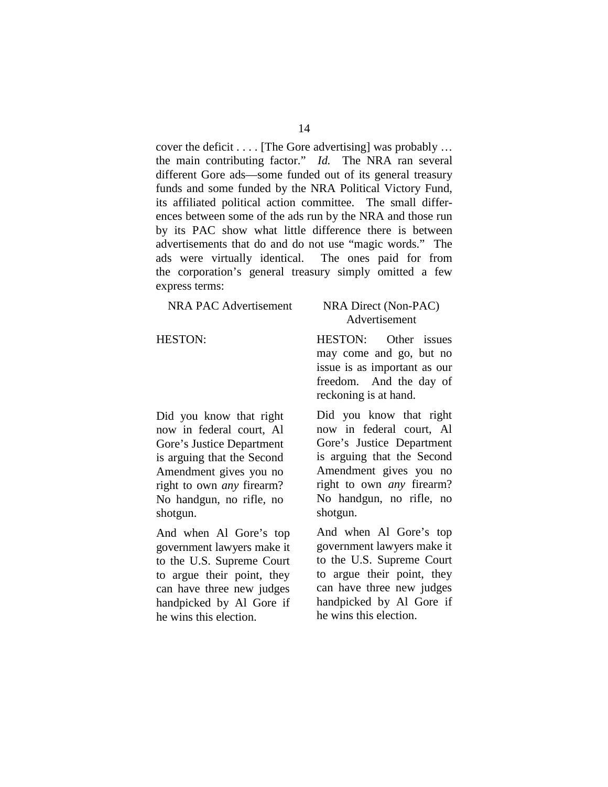cover the deficit . . . . [The Gore advertising] was probably … the main contributing factor." *Id.* The NRA ran several different Gore ads—some funded out of its general treasury funds and some funded by the NRA Political Victory Fund, its affiliated political action committee. The small differences between some of the ads run by the NRA and those run by its PAC show what little difference there is between advertisements that do and do not use "magic words." The ads were virtually identical. The ones paid for from the corporation's general treasury simply omitted a few express terms:

| NRA PAC Advertisement | NRA Direct (Non-PAC)<br>Advertisement                                           |
|-----------------------|---------------------------------------------------------------------------------|
| <b>HESTON:</b>        | HESTON: Other issues<br>may come and go, but no<br>issue is as important as our |

Did you know that right now in federal court, Al Gore's Justice Department is arguing that the Second Amendment gives you no right to own *any* firearm? No handgun, no rifle, no shotgun.

And when Al Gore's top government lawyers make it to the U.S. Supreme Court to argue their point, they can have three new judges handpicked by Al Gore if he wins this election.

freedom. And the day of reckoning is at hand. Did you know that right now in federal court, Al Gore's Justice Department is arguing that the Second Amendment gives you no right to own *any* firearm? No handgun, no rifle, no

And when Al Gore's top government lawyers make it to the U.S. Supreme Court to argue their point, they can have three new judges handpicked by Al Gore if he wins this election.

shotgun.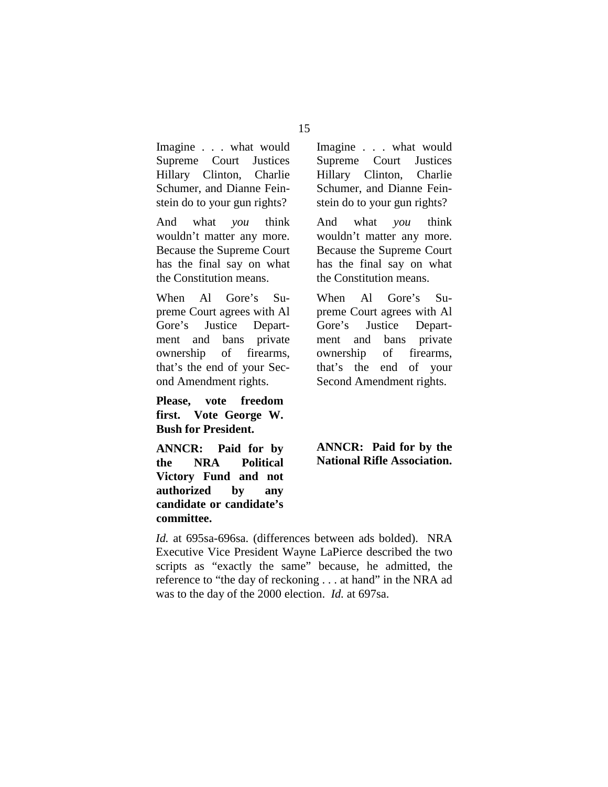Imagine . . . what would Supreme Court Justices Hillary Clinton, Charlie Schumer, and Dianne Feinstein do to your gun rights?

And what *you* think wouldn't matter any more. Because the Supreme Court has the final say on what the Constitution means.

When Al Gore's Supreme Court agrees with Al Gore's Justice Department and bans private ownership of firearms, that's the end of your Second Amendment rights.

**Please, vote freedom first. Vote George W. Bush for President.** 

**ANNCR: Paid for by the NRA Political Victory Fund and not authorized by any candidate or candidate's committee.** 

Imagine . . . what would Supreme Court Justices Hillary Clinton, Charlie Schumer, and Dianne Feinstein do to your gun rights?

And what *you* think wouldn't matter any more. Because the Supreme Court has the final say on what the Constitution means.

When Al Gore's Supreme Court agrees with Al Gore's Justice Department and bans private ownership of firearms, that's the end of your Second Amendment rights.

### **ANNCR: Paid for by the National Rifle Association.**

*Id.* at 695sa-696sa. (differences between ads bolded). NRA Executive Vice President Wayne LaPierce described the two scripts as "exactly the same" because, he admitted, the reference to "the day of reckoning . . . at hand" in the NRA ad was to the day of the 2000 election. *Id.* at 697sa.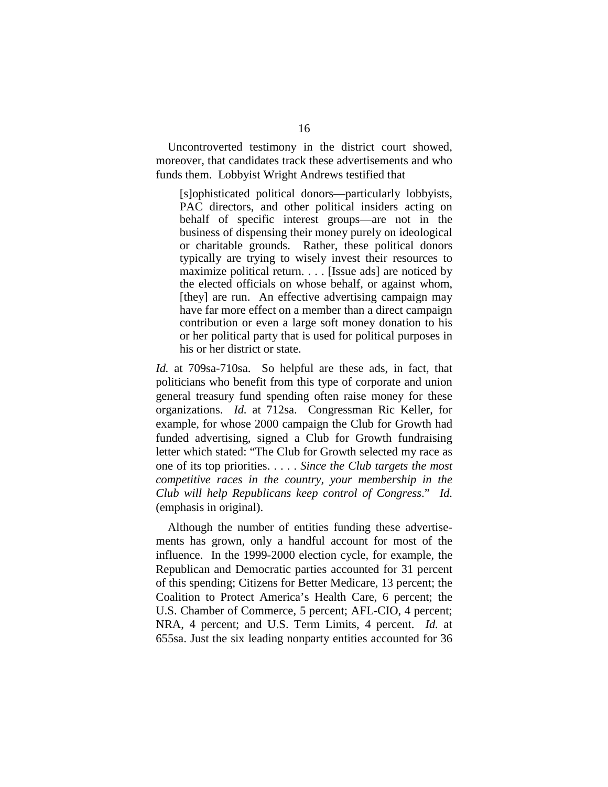Uncontroverted testimony in the district court showed, moreover, that candidates track these advertisements and who funds them. Lobbyist Wright Andrews testified that

[s]ophisticated political donors—particularly lobbyists, PAC directors, and other political insiders acting on behalf of specific interest groups—are not in the business of dispensing their money purely on ideological or charitable grounds. Rather, these political donors typically are trying to wisely invest their resources to maximize political return. . . . [Issue ads] are noticed by the elected officials on whose behalf, or against whom, [they] are run. An effective advertising campaign may have far more effect on a member than a direct campaign contribution or even a large soft money donation to his or her political party that is used for political purposes in his or her district or state.

*Id.* at 709sa-710sa. So helpful are these ads, in fact, that politicians who benefit from this type of corporate and union general treasury fund spending often raise money for these organizations. *Id.* at 712sa. Congressman Ric Keller, for example, for whose 2000 campaign the Club for Growth had funded advertising, signed a Club for Growth fundraising letter which stated: "The Club for Growth selected my race as one of its top priorities. . . . . *Since the Club targets the most competitive races in the country, your membership in the Club will help Republicans keep control of Congress*." *Id.*  (emphasis in original).

Although the number of entities funding these advertisements has grown, only a handful account for most of the influence. In the 1999-2000 election cycle, for example, the Republican and Democratic parties accounted for 31 percent of this spending; Citizens for Better Medicare, 13 percent; the Coalition to Protect America's Health Care, 6 percent; the U.S. Chamber of Commerce, 5 percent; AFL-CIO, 4 percent; NRA, 4 percent; and U.S. Term Limits, 4 percent. *Id.* at 655sa. Just the six leading nonparty entities accounted for 36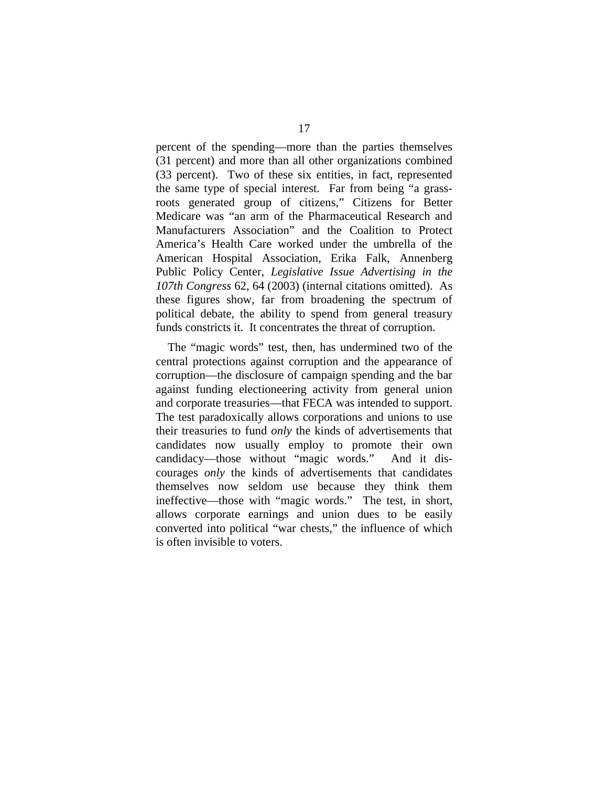percent of the spending—more than the parties themselves (31 percent) and more than all other organizations combined (33 percent). Two of these six entities, in fact, represented the same type of special interest. Far from being "a grassroots generated group of citizens," Citizens for Better Medicare was "an arm of the Pharmaceutical Research and Manufacturers Association" and the Coalition to Protect America's Health Care worked under the umbrella of the American Hospital Association, Erika Falk, Annenberg Public Policy Center, *Legislative Issue Advertising in the 107th Congress* 62, 64 (2003) (internal citations omitted). As these figures show, far from broadening the spectrum of political debate, the ability to spend from general treasury funds constricts it. It concentrates the threat of corruption.

The "magic words" test, then, has undermined two of the central protections against corruption and the appearance of corruption—the disclosure of campaign spending and the bar against funding electioneering activity from general union and corporate treasuries—that FECA was intended to support. The test paradoxically allows corporations and unions to use their treasuries to fund *only* the kinds of advertisements that candidates now usually employ to promote their own candidacy—those without "magic words." And it discourages *only* the kinds of advertisements that candidates themselves now seldom use because they think them ineffective—those with "magic words." The test, in short, allows corporate earnings and union dues to be easily converted into political "war chests," the influence of which is often invisible to voters.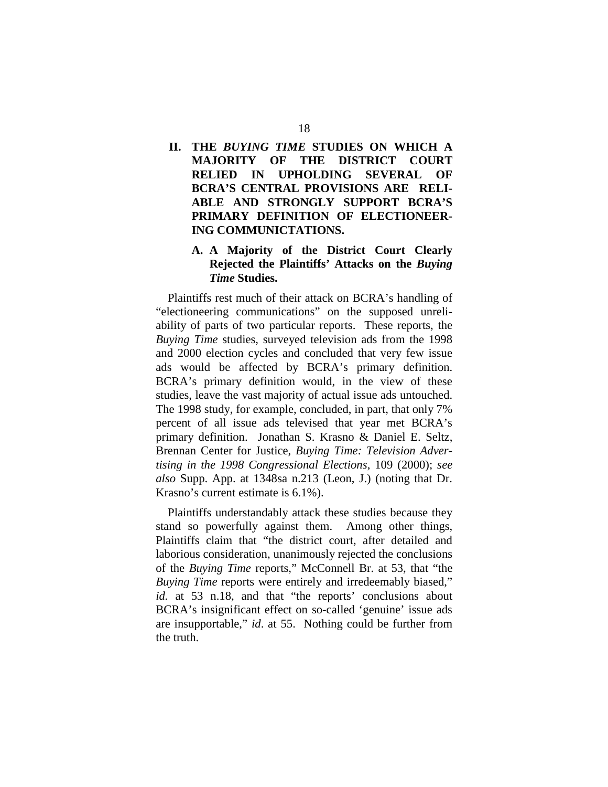## **II. THE** *BUYING TIME* **STUDIES ON WHICH A MAJORITY OF THE DISTRICT COURT RELIED IN UPHOLDING SEVERAL OF BCRA'S CENTRAL PROVISIONS ARE RELI-ABLE AND STRONGLY SUPPORT BCRA'S PRIMARY DEFINITION OF ELECTIONEER-ING COMMUNICTATIONS.**

### **A. A Majority of the District Court Clearly Rejected the Plaintiffs' Attacks on the** *Buying Time* **Studies.**

Plaintiffs rest much of their attack on BCRA's handling of "electioneering communications" on the supposed unreliability of parts of two particular reports. These reports, the *Buying Time* studies, surveyed television ads from the 1998 and 2000 election cycles and concluded that very few issue ads would be affected by BCRA's primary definition. BCRA's primary definition would, in the view of these studies, leave the vast majority of actual issue ads untouched. The 1998 study, for example, concluded, in part, that only 7% percent of all issue ads televised that year met BCRA's primary definition. Jonathan S. Krasno & Daniel E. Seltz, Brennan Center for Justice, *Buying Time: Television Advertising in the 1998 Congressional Elections*, 109 (2000); *see also* Supp. App. at 1348sa n.213 (Leon, J.) (noting that Dr. Krasno's current estimate is 6.1%).

Plaintiffs understandably attack these studies because they stand so powerfully against them. Among other things, Plaintiffs claim that "the district court, after detailed and laborious consideration, unanimously rejected the conclusions of the *Buying Time* reports," McConnell Br. at 53, that "the *Buying Time* reports were entirely and irredeemably biased," *id.* at 53 n.18, and that "the reports' conclusions about BCRA's insignificant effect on so-called 'genuine' issue ads are insupportable," *id*. at 55. Nothing could be further from the truth.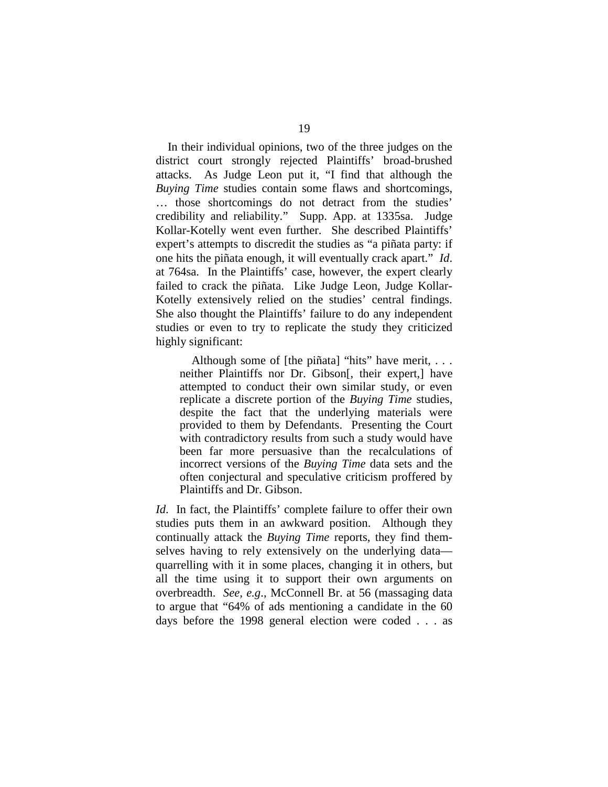In their individual opinions, two of the three judges on the district court strongly rejected Plaintiffs' broad-brushed attacks. As Judge Leon put it, "I find that although the *Buying Time* studies contain some flaws and shortcomings, … those shortcomings do not detract from the studies' credibility and reliability." Supp. App. at 1335sa. Judge Kollar-Kotelly went even further. She described Plaintiffs' expert's attempts to discredit the studies as "a piñata party: if one hits the piñata enough, it will eventually crack apart." *Id*. at 764sa. In the Plaintiffs' case, however, the expert clearly failed to crack the piñata. Like Judge Leon, Judge Kollar-Kotelly extensively relied on the studies' central findings. She also thought the Plaintiffs' failure to do any independent studies or even to try to replicate the study they criticized highly significant:

Although some of [the piñata] "hits" have merit, ... neither Plaintiffs nor Dr. Gibson[, their expert,] have attempted to conduct their own similar study, or even replicate a discrete portion of the *Buying Time* studies, despite the fact that the underlying materials were provided to them by Defendants. Presenting the Court with contradictory results from such a study would have been far more persuasive than the recalculations of incorrect versions of the *Buying Time* data sets and the often conjectural and speculative criticism proffered by Plaintiffs and Dr. Gibson.

*Id*. In fact, the Plaintiffs' complete failure to offer their own studies puts them in an awkward position. Although they continually attack the *Buying Time* reports, they find themselves having to rely extensively on the underlying data quarrelling with it in some places, changing it in others, but all the time using it to support their own arguments on overbreadth. *See, e.g*., McConnell Br. at 56 (massaging data to argue that "64% of ads mentioning a candidate in the 60 days before the 1998 general election were coded . . . as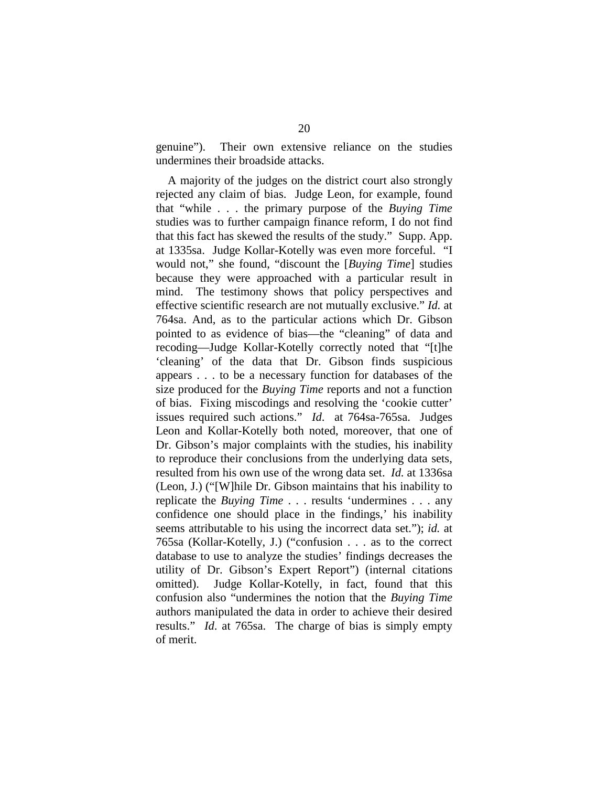genuine"). Their own extensive reliance on the studies undermines their broadside attacks.

A majority of the judges on the district court also strongly rejected any claim of bias. Judge Leon, for example, found that "while . . . the primary purpose of the *Buying Time*  studies was to further campaign finance reform, I do not find that this fact has skewed the results of the study." Supp. App. at 1335sa. Judge Kollar-Kotelly was even more forceful. "I would not," she found, "discount the [*Buying Time*] studies because they were approached with a particular result in mind. The testimony shows that policy perspectives and effective scientific research are not mutually exclusive." *Id.* at 764sa. And, as to the particular actions which Dr. Gibson pointed to as evidence of bias—the "cleaning" of data and recoding—Judge Kollar-Kotelly correctly noted that "[t]he 'cleaning' of the data that Dr. Gibson finds suspicious appears . . . to be a necessary function for databases of the size produced for the *Buying Time* reports and not a function of bias. Fixing miscodings and resolving the 'cookie cutter' issues required such actions." *Id*. at 764sa-765sa. Judges Leon and Kollar-Kotelly both noted, moreover, that one of Dr. Gibson's major complaints with the studies, his inability to reproduce their conclusions from the underlying data sets, resulted from his own use of the wrong data set. *Id.* at 1336sa (Leon, J.) ("[W]hile Dr. Gibson maintains that his inability to replicate the *Buying Time* . . . results 'undermines . . . any confidence one should place in the findings,' his inability seems attributable to his using the incorrect data set."); *id.* at 765sa (Kollar-Kotelly, J.) ("confusion . . . as to the correct database to use to analyze the studies' findings decreases the utility of Dr. Gibson's Expert Report") (internal citations omitted). Judge Kollar-Kotelly, in fact, found that this confusion also "undermines the notion that the *Buying Time*  authors manipulated the data in order to achieve their desired results." *Id*. at 765sa. The charge of bias is simply empty of merit.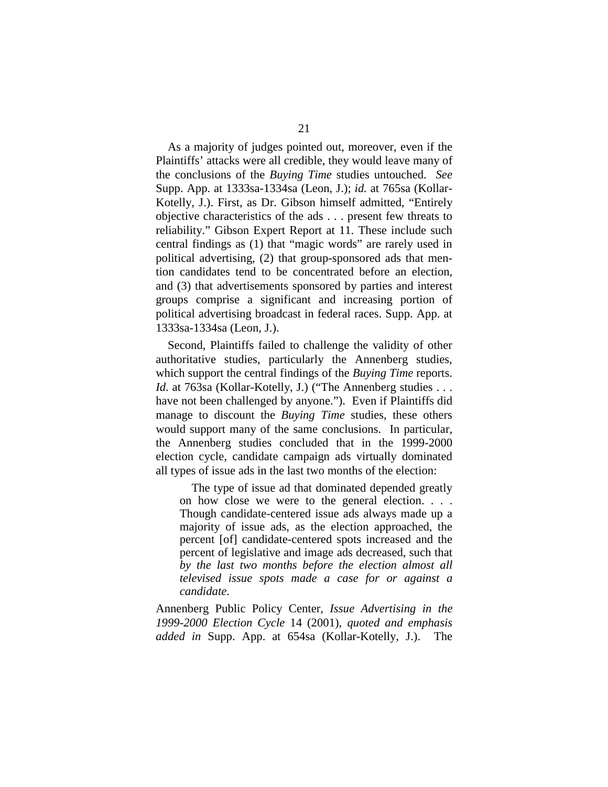As a majority of judges pointed out, moreover, even if the Plaintiffs' attacks were all credible, they would leave many of the conclusions of the *Buying Time* studies untouched. *See*  Supp. App. at 1333sa-1334sa (Leon, J.); *id.* at 765sa (Kollar-Kotelly, J.). First, as Dr. Gibson himself admitted, "Entirely objective characteristics of the ads . . . present few threats to reliability." Gibson Expert Report at 11. These include such central findings as (1) that "magic words" are rarely used in political advertising, (2) that group-sponsored ads that mention candidates tend to be concentrated before an election, and (3) that advertisements sponsored by parties and interest groups comprise a significant and increasing portion of political advertising broadcast in federal races. Supp. App. at 1333sa-1334sa (Leon, J.).

Second, Plaintiffs failed to challenge the validity of other authoritative studies, particularly the Annenberg studies, which support the central findings of the *Buying Time* reports. *Id.* at 763sa (Kollar-Kotelly, J.) ("The Annenberg studies . . . have not been challenged by anyone."). Even if Plaintiffs did manage to discount the *Buying Time* studies, these others would support many of the same conclusions. In particular, the Annenberg studies concluded that in the 1999-2000 election cycle, candidate campaign ads virtually dominated all types of issue ads in the last two months of the election:

The type of issue ad that dominated depended greatly on how close we were to the general election. . . . Though candidate-centered issue ads always made up a majority of issue ads, as the election approached, the percent [of] candidate-centered spots increased and the percent of legislative and image ads decreased, such that *by the last two months before the election almost all televised issue spots made a case for or against a candidate*.

Annenberg Public Policy Center, *Issue Advertising in the 1999-2000 Election Cycle* 14 (2001), *quoted and emphasis added in* Supp. App. at 654sa (Kollar-Kotelly, J.). The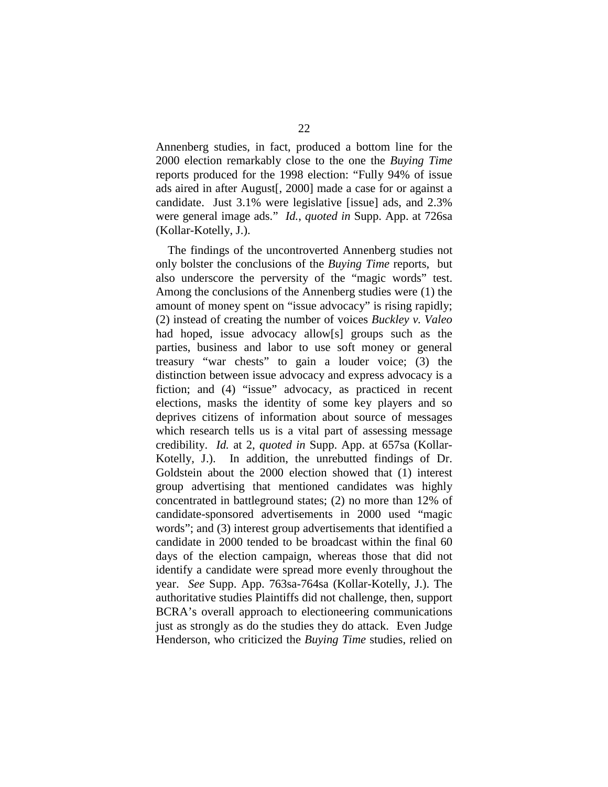Annenberg studies, in fact, produced a bottom line for the 2000 election remarkably close to the one the *Buying Time*  reports produced for the 1998 election: "Fully 94% of issue ads aired in after August[, 2000] made a case for or against a candidate. Just 3.1% were legislative [issue] ads, and 2.3% were general image ads." *Id.*, *quoted in* Supp. App. at 726sa (Kollar-Kotelly, J.).

The findings of the uncontroverted Annenberg studies not only bolster the conclusions of the *Buying Time* reports, but also underscore the perversity of the "magic words" test. Among the conclusions of the Annenberg studies were (1) the amount of money spent on "issue advocacy" is rising rapidly; (2) instead of creating the number of voices *Buckley v. Valeo*  had hoped, issue advocacy allow[s] groups such as the parties, business and labor to use soft money or general treasury "war chests" to gain a louder voice; (3) the distinction between issue advocacy and express advocacy is a fiction; and (4) "issue" advocacy, as practiced in recent elections, masks the identity of some key players and so deprives citizens of information about source of messages which research tells us is a vital part of assessing message credibility. *Id.* at 2, *quoted in* Supp. App. at 657sa (Kollar-Kotelly, J.). In addition, the unrebutted findings of Dr. Goldstein about the 2000 election showed that (1) interest group advertising that mentioned candidates was highly concentrated in battleground states; (2) no more than 12% of candidate-sponsored advertisements in 2000 used "magic words"; and (3) interest group advertisements that identified a candidate in 2000 tended to be broadcast within the final 60 days of the election campaign, whereas those that did not identify a candidate were spread more evenly throughout the year. *See* Supp. App. 763sa-764sa (Kollar-Kotelly, J.). The authoritative studies Plaintiffs did not challenge, then, support BCRA's overall approach to electioneering communications just as strongly as do the studies they do attack. Even Judge Henderson, who criticized the *Buying Time* studies, relied on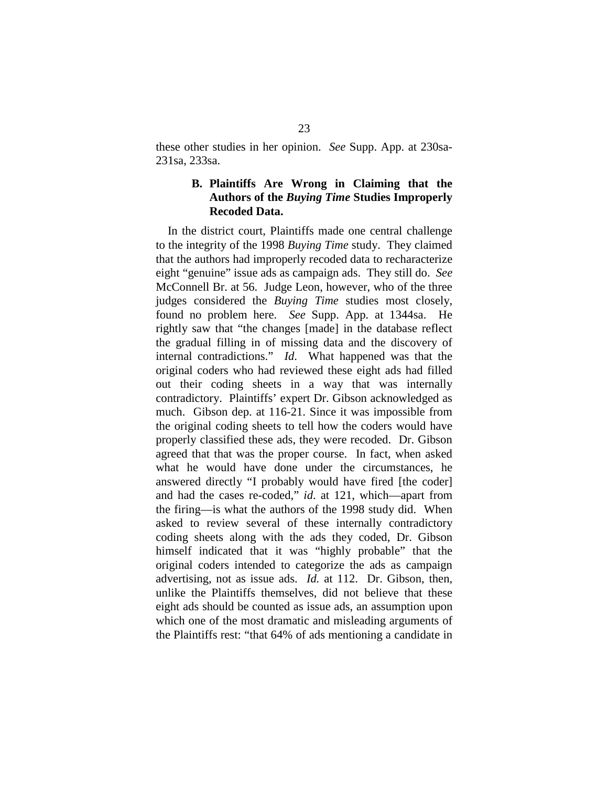these other studies in her opinion. *See* Supp. App. at 230sa-231sa, 233sa.

### **B. Plaintiffs Are Wrong in Claiming that the Authors of the** *Buying Time* **Studies Improperly Recoded Data.**

In the district court, Plaintiffs made one central challenge to the integrity of the 1998 *Buying Time* study. They claimed that the authors had improperly recoded data to recharacterize eight "genuine" issue ads as campaign ads. They still do. *See*  McConnell Br. at 56. Judge Leon, however, who of the three judges considered the *Buying Time* studies most closely, found no problem here. *See* Supp. App. at 1344sa. He rightly saw that "the changes [made] in the database reflect the gradual filling in of missing data and the discovery of internal contradictions." *Id*. What happened was that the original coders who had reviewed these eight ads had filled out their coding sheets in a way that was internally contradictory. Plaintiffs' expert Dr. Gibson acknowledged as much. Gibson dep. at 116-21. Since it was impossible from the original coding sheets to tell how the coders would have properly classified these ads, they were recoded. Dr. Gibson agreed that that was the proper course. In fact, when asked what he would have done under the circumstances, he answered directly "I probably would have fired [the coder] and had the cases re-coded," *id*. at 121, which—apart from the firing—is what the authors of the 1998 study did. When asked to review several of these internally contradictory coding sheets along with the ads they coded, Dr. Gibson himself indicated that it was "highly probable" that the original coders intended to categorize the ads as campaign advertising, not as issue ads. *Id.* at 112. Dr. Gibson, then, unlike the Plaintiffs themselves, did not believe that these eight ads should be counted as issue ads, an assumption upon which one of the most dramatic and misleading arguments of the Plaintiffs rest: "that 64% of ads mentioning a candidate in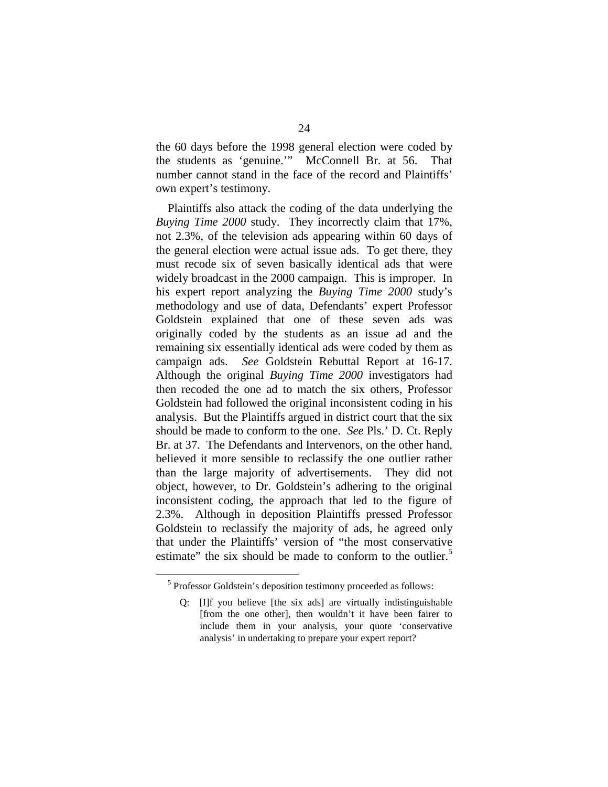the 60 days before the 1998 general election were coded by the students as 'genuine.'" McConnell Br. at 56. That number cannot stand in the face of the record and Plaintiffs' own expert's testimony.

Plaintiffs also attack the coding of the data underlying the *Buying Time 2000* study. They incorrectly claim that 17%, not 2.3%, of the television ads appearing within 60 days of the general election were actual issue ads. To get there, they must recode six of seven basically identical ads that were widely broadcast in the 2000 campaign. This is improper. In his expert report analyzing the *Buying Time 2000* study's methodology and use of data, Defendants' expert Professor Goldstein explained that one of these seven ads was originally coded by the students as an issue ad and the remaining six essentially identical ads were coded by them as campaign ads. *See* Goldstein Rebuttal Report at 16-17. Although the original *Buying Time 2000* investigators had then recoded the one ad to match the six others, Professor Goldstein had followed the original inconsistent coding in his analysis. But the Plaintiffs argued in district court that the six should be made to conform to the one. *See* Pls.' D. Ct. Reply Br. at 37. The Defendants and Intervenors, on the other hand, believed it more sensible to reclassify the one outlier rather than the large majority of advertisements. They did not object, however, to Dr. Goldstein's adhering to the original inconsistent coding, the approach that led to the figure of 2.3%. Although in deposition Plaintiffs pressed Professor Goldstein to reclassify the majority of ads, he agreed only that under the Plaintiffs' version of "the most conservative estimate" the six should be made to conform to the outlier.<sup>5</sup>

<sup>&</sup>lt;sup>5</sup> Professor Goldstein's deposition testimony proceeded as follows:

Q: [I]f you believe [the six ads] are virtually indistinguishable [from the one other], then wouldn't it have been fairer to include them in your analysis, your quote 'conservative analysis' in undertaking to prepare your expert report?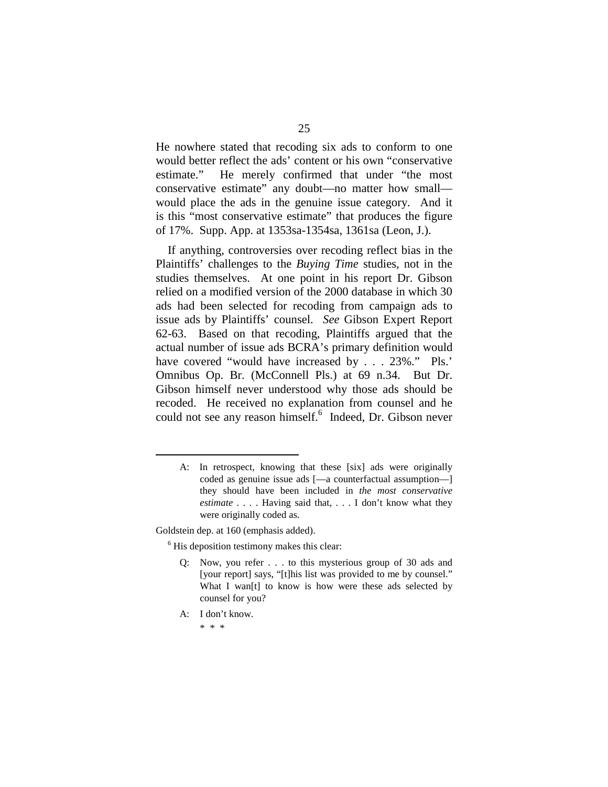He nowhere stated that recoding six ads to conform to one would better reflect the ads' content or his own "conservative estimate." He merely confirmed that under "the most conservative estimate" any doubt—no matter how small would place the ads in the genuine issue category. And it is this "most conservative estimate" that produces the figure of 17%. Supp. App. at 1353sa-1354sa, 1361sa (Leon, J.).

If anything, controversies over recoding reflect bias in the Plaintiffs' challenges to the *Buying Time* studies, not in the studies themselves. At one point in his report Dr. Gibson relied on a modified version of the 2000 database in which 30 ads had been selected for recoding from campaign ads to issue ads by Plaintiffs' counsel. *See* Gibson Expert Report 62-63. Based on that recoding, Plaintiffs argued that the actual number of issue ads BCRA's primary definition would have covered "would have increased by . . . 23%." Pls.' Omnibus Op. Br. (McConnell Pls.) at 69 n.34. But Dr. Gibson himself never understood why those ads should be recoded. He received no explanation from counsel and he could not see any reason himself.<sup>6</sup> Indeed, Dr. Gibson never

Goldstein dep. at 160 (emphasis added).

<sup>6</sup> His deposition testimony makes this clear:

- Q: Now, you refer . . . to this mysterious group of 30 ads and [your report] says, "[t]his list was provided to me by counsel." What I wan<sup>[t]</sup> to know is how were these ads selected by counsel for you?
- A: I don't know.

A: In retrospect, knowing that these [six] ads were originally coded as genuine issue ads [—a counterfactual assumption—] they should have been included in *the most conservative estimate* . . . . Having said that, . . . I don't know what they were originally coded as.

<sup>\*</sup> \* \*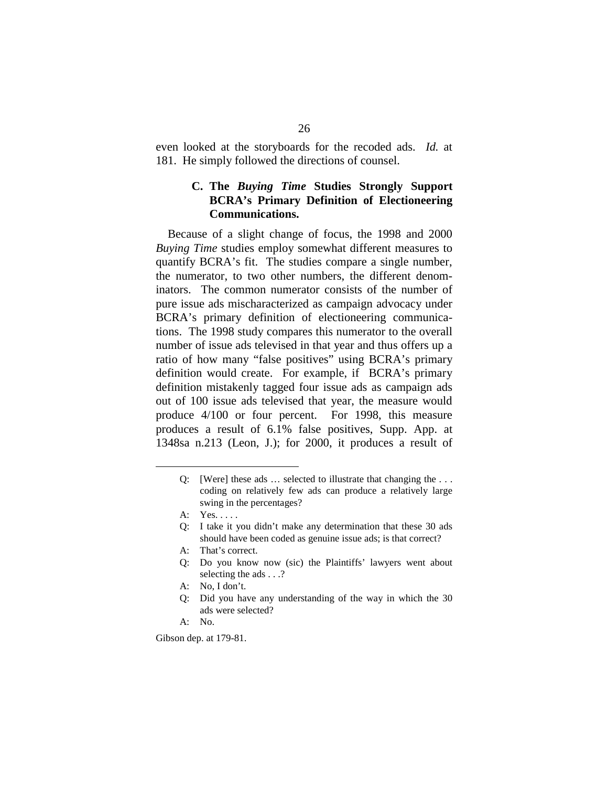even looked at the storyboards for the recoded ads. *Id.* at 181. He simply followed the directions of counsel.

### **C. The** *Buying Time* **Studies Strongly Support BCRA's Primary Definition of Electioneering Communications.**

Because of a slight change of focus, the 1998 and 2000 *Buying Time* studies employ somewhat different measures to quantify BCRA's fit. The studies compare a single number, the numerator, to two other numbers, the different denominators. The common numerator consists of the number of pure issue ads mischaracterized as campaign advocacy under BCRA's primary definition of electioneering communications. The 1998 study compares this numerator to the overall number of issue ads televised in that year and thus offers up a ratio of how many "false positives" using BCRA's primary definition would create. For example, if BCRA's primary definition mistakenly tagged four issue ads as campaign ads out of 100 issue ads televised that year, the measure would produce 4/100 or four percent. For 1998, this measure produces a result of 6.1% false positives, Supp. App. at 1348sa n.213 (Leon, J.); for 2000, it produces a result of

- A: That's correct.
- Q: Do you know now (sic) the Plaintiffs' lawyers went about selecting the ads . . .?
- A: No, I don't.
- Q: Did you have any understanding of the way in which the 30 ads were selected?
- A: No.

Gibson dep. at 179-81.

Q: [Were] these ads … selected to illustrate that changing the . . . coding on relatively few ads can produce a relatively large swing in the percentages?

A: Yes. . . . .

Q: I take it you didn't make any determination that these 30 ads should have been coded as genuine issue ads; is that correct?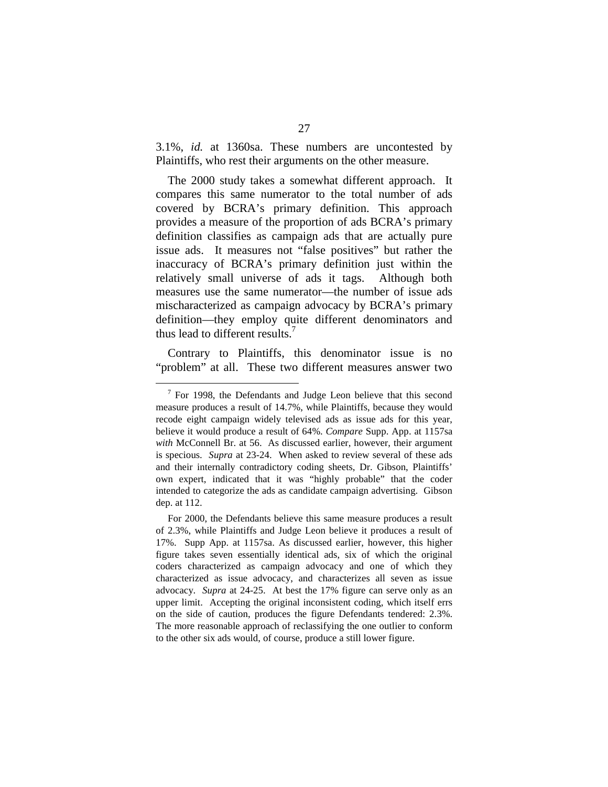3.1%, *id.* at 1360sa. These numbers are uncontested by Plaintiffs, who rest their arguments on the other measure.

The 2000 study takes a somewhat different approach. It compares this same numerator to the total number of ads covered by BCRA's primary definition. This approach provides a measure of the proportion of ads BCRA's primary definition classifies as campaign ads that are actually pure issue ads. It measures not "false positives" but rather the inaccuracy of BCRA's primary definition just within the relatively small universe of ads it tags. Although both measures use the same numerator—the number of issue ads mischaracterized as campaign advocacy by BCRA's primary definition—they employ quite different denominators and thus lead to different results.<sup>7</sup>

Contrary to Plaintiffs, this denominator issue is no "problem" at all. These two different measures answer two

 $7$  For 1998, the Defendants and Judge Leon believe that this second measure produces a result of 14.7%, while Plaintiffs, because they would recode eight campaign widely televised ads as issue ads for this year, believe it would produce a result of 64%. *Compare* Supp. App. at 1157sa *with* McConnell Br. at 56. As discussed earlier, however, their argument is specious. *Supra* at 23-24. When asked to review several of these ads and their internally contradictory coding sheets, Dr. Gibson, Plaintiffs' own expert, indicated that it was "highly probable" that the coder intended to categorize the ads as candidate campaign advertising. Gibson dep. at 112.

For 2000, the Defendants believe this same measure produces a result of 2.3%, while Plaintiffs and Judge Leon believe it produces a result of 17%. Supp App. at 1157sa. As discussed earlier, however, this higher figure takes seven essentially identical ads, six of which the original coders characterized as campaign advocacy and one of which they characterized as issue advocacy, and characterizes all seven as issue advocacy. *Supra* at 24-25. At best the 17% figure can serve only as an upper limit. Accepting the original inconsistent coding, which itself errs on the side of caution, produces the figure Defendants tendered: 2.3%. The more reasonable approach of reclassifying the one outlier to conform to the other six ads would, of course, produce a still lower figure.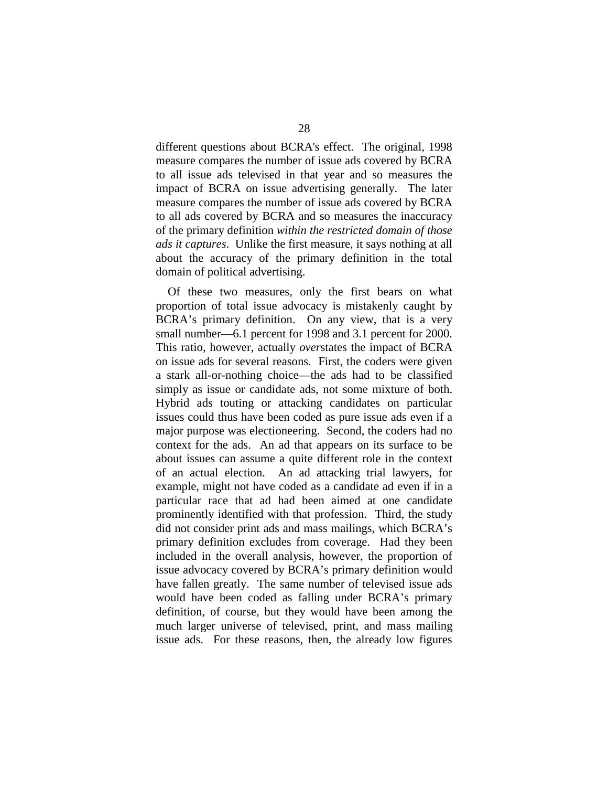different questions about BCRA's effect. The original, 1998 measure compares the number of issue ads covered by BCRA to all issue ads televised in that year and so measures the impact of BCRA on issue advertising generally. The later measure compares the number of issue ads covered by BCRA to all ads covered by BCRA and so measures the inaccuracy of the primary definition *within the restricted domain of those ads it captures*. Unlike the first measure, it says nothing at all about the accuracy of the primary definition in the total domain of political advertising.

Of these two measures, only the first bears on what proportion of total issue advocacy is mistakenly caught by BCRA's primary definition. On any view, that is a very small number—6.1 percent for 1998 and 3.1 percent for 2000. This ratio, however, actually *over*states the impact of BCRA on issue ads for several reasons. First, the coders were given a stark all-or-nothing choice—the ads had to be classified simply as issue or candidate ads, not some mixture of both. Hybrid ads touting or attacking candidates on particular issues could thus have been coded as pure issue ads even if a major purpose was electioneering. Second, the coders had no context for the ads. An ad that appears on its surface to be about issues can assume a quite different role in the context of an actual election. An ad attacking trial lawyers, for example, might not have coded as a candidate ad even if in a particular race that ad had been aimed at one candidate prominently identified with that profession. Third, the study did not consider print ads and mass mailings, which BCRA's primary definition excludes from coverage. Had they been included in the overall analysis, however, the proportion of issue advocacy covered by BCRA's primary definition would have fallen greatly. The same number of televised issue ads would have been coded as falling under BCRA's primary definition, of course, but they would have been among the much larger universe of televised, print, and mass mailing issue ads. For these reasons, then, the already low figures